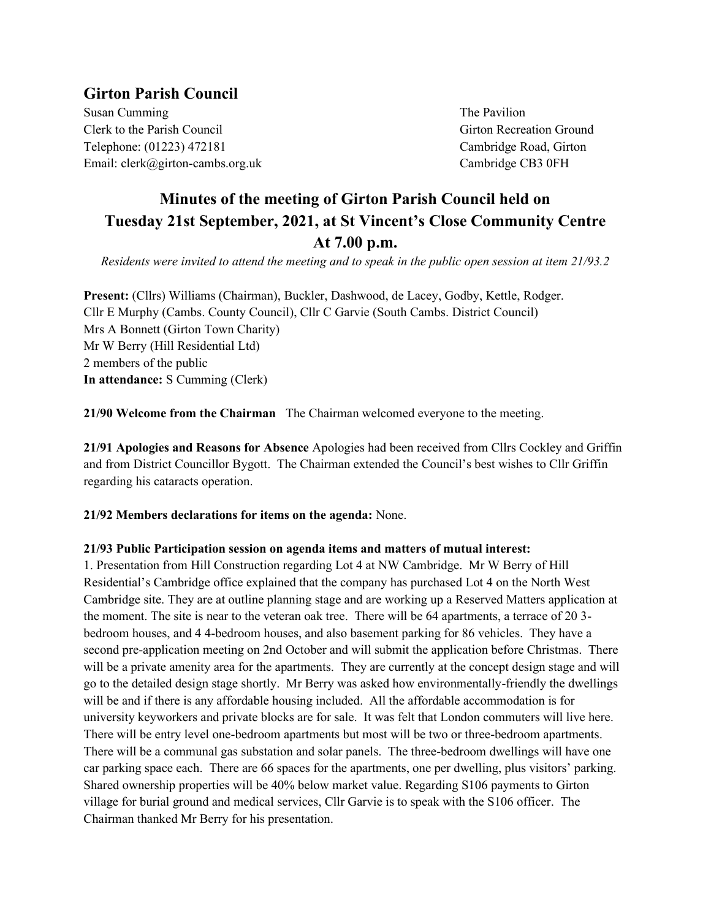# **Girton Parish Council**

Susan Cumming Susan Cumming Susan Cumming Susan Cumming Susan Susan The Pavilion Clerk to the Parish Council and Council Girton Recreation Ground Telephone: (01223) 472181 Cambridge Road, Girton Email: clerk@girton-cambs.org.uk Cambridge CB3 0FH

# **Minutes of the meeting of Girton Parish Council held on Tuesday 21st September, 2021, at St Vincent's Close Community Centre At 7.00 p.m.**

*Residents were invited to attend the meeting and to speak in the public open session at item 21/93.2*

**Present:** (Cllrs) Williams (Chairman), Buckler, Dashwood, de Lacey, Godby, Kettle, Rodger. Cllr E Murphy (Cambs. County Council), Cllr C Garvie (South Cambs. District Council) Mrs A Bonnett (Girton Town Charity) Mr W Berry (Hill Residential Ltd) 2 members of the public **In attendance:** S Cumming (Clerk)

**21/90 Welcome from the Chairman** The Chairman welcomed everyone to the meeting.

**21/91 Apologies and Reasons for Absence** Apologies had been received from Cllrs Cockley and Griffin and from District Councillor Bygott. The Chairman extended the Council's best wishes to Cllr Griffin regarding his cataracts operation.

**21/92 Members declarations for items on the agenda:** None.

# **21/93 Public Participation session on agenda items and matters of mutual interest:**

1. Presentation from Hill Construction regarding Lot 4 at NW Cambridge. Mr W Berry of Hill Residential's Cambridge office explained that the company has purchased Lot 4 on the North West Cambridge site. They are at outline planning stage and are working up a Reserved Matters application at the moment. The site is near to the veteran oak tree. There will be 64 apartments, a terrace of 20 3 bedroom houses, and 4 4-bedroom houses, and also basement parking for 86 vehicles. They have a second pre-application meeting on 2nd October and will submit the application before Christmas. There will be a private amenity area for the apartments. They are currently at the concept design stage and will go to the detailed design stage shortly. Mr Berry was asked how environmentally-friendly the dwellings will be and if there is any affordable housing included. All the affordable accommodation is for university keyworkers and private blocks are for sale. It was felt that London commuters will live here. There will be entry level one-bedroom apartments but most will be two or three-bedroom apartments. There will be a communal gas substation and solar panels. The three-bedroom dwellings will have one car parking space each. There are 66 spaces for the apartments, one per dwelling, plus visitors' parking. Shared ownership properties will be 40% below market value. Regarding S106 payments to Girton village for burial ground and medical services, Cllr Garvie is to speak with the S106 officer. The Chairman thanked Mr Berry for his presentation.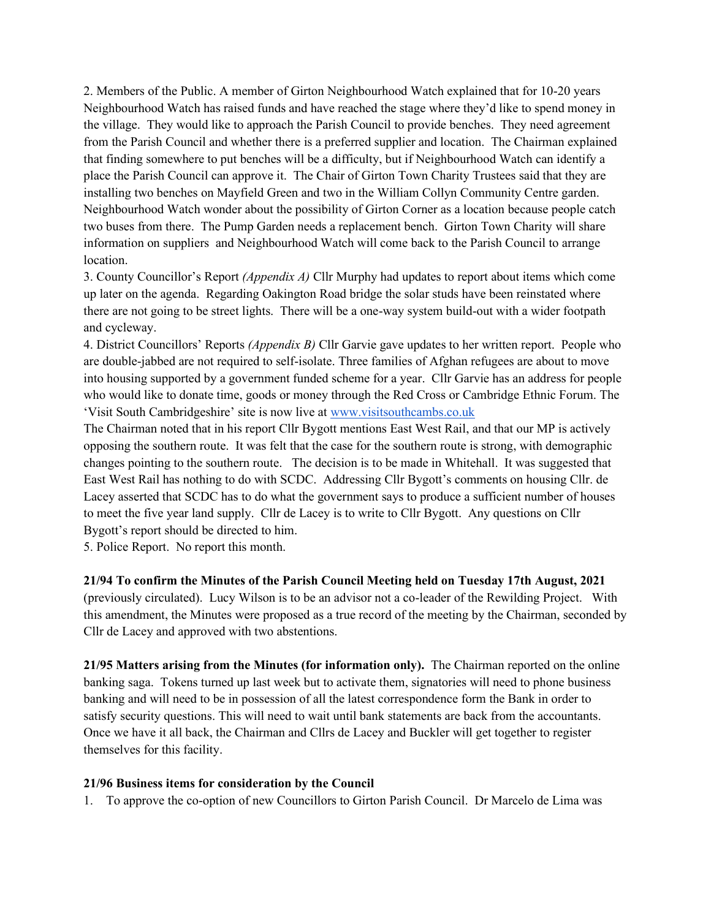2. Members of the Public. A member of Girton Neighbourhood Watch explained that for 10-20 years Neighbourhood Watch has raised funds and have reached the stage where they'd like to spend money in the village. They would like to approach the Parish Council to provide benches. They need agreement from the Parish Council and whether there is a preferred supplier and location. The Chairman explained that finding somewhere to put benches will be a difficulty, but if Neighbourhood Watch can identify a place the Parish Council can approve it. The Chair of Girton Town Charity Trustees said that they are installing two benches on Mayfield Green and two in the William Collyn Community Centre garden. Neighbourhood Watch wonder about the possibility of Girton Corner as a location because people catch two buses from there. The Pump Garden needs a replacement bench. Girton Town Charity will share information on suppliers and Neighbourhood Watch will come back to the Parish Council to arrange location.

3. County Councillor's Report *(Appendix A)* Cllr Murphy had updates to report about items which come up later on the agenda. Regarding Oakington Road bridge the solar studs have been reinstated where there are not going to be street lights. There will be a one-way system build-out with a wider footpath and cycleway.

4. District Councillors' Reports *(Appendix B)* Cllr Garvie gave updates to her written report. People who are double-jabbed are not required to self-isolate. Three families of Afghan refugees are about to move into housing supported by a government funded scheme for a year. Cllr Garvie has an address for people who would like to donate time, goods or money through the Red Cross or Cambridge Ethnic Forum. The 'Visit South Cambridgeshire' site is now live at [www.visitsouthcambs.co.uk](http://www.visitsouthcambs.co.uk/) 

The Chairman noted that in his report Cllr Bygott mentions East West Rail, and that our MP is actively opposing the southern route. It was felt that the case for the southern route is strong, with demographic changes pointing to the southern route. The decision is to be made in Whitehall. It was suggested that East West Rail has nothing to do with SCDC. Addressing Cllr Bygott's comments on housing Cllr. de Lacey asserted that SCDC has to do what the government says to produce a sufficient number of houses to meet the five year land supply. Cllr de Lacey is to write to Cllr Bygott. Any questions on Cllr Bygott's report should be directed to him.

5. Police Report. No report this month.

### **21/94 To confirm the Minutes of the Parish Council Meeting held on Tuesday 17th August, 2021**

(previously circulated). Lucy Wilson is to be an advisor not a co-leader of the Rewilding Project. With this amendment, the Minutes were proposed as a true record of the meeting by the Chairman, seconded by Cllr de Lacey and approved with two abstentions.

**21/95 Matters arising from the Minutes (for information only).** The Chairman reported on the online banking saga. Tokens turned up last week but to activate them, signatories will need to phone business banking and will need to be in possession of all the latest correspondence form the Bank in order to satisfy security questions. This will need to wait until bank statements are back from the accountants. Once we have it all back, the Chairman and Cllrs de Lacey and Buckler will get together to register themselves for this facility.

#### **21/96 Business items for consideration by the Council**

1. To approve the co-option of new Councillors to Girton Parish Council. Dr Marcelo de Lima was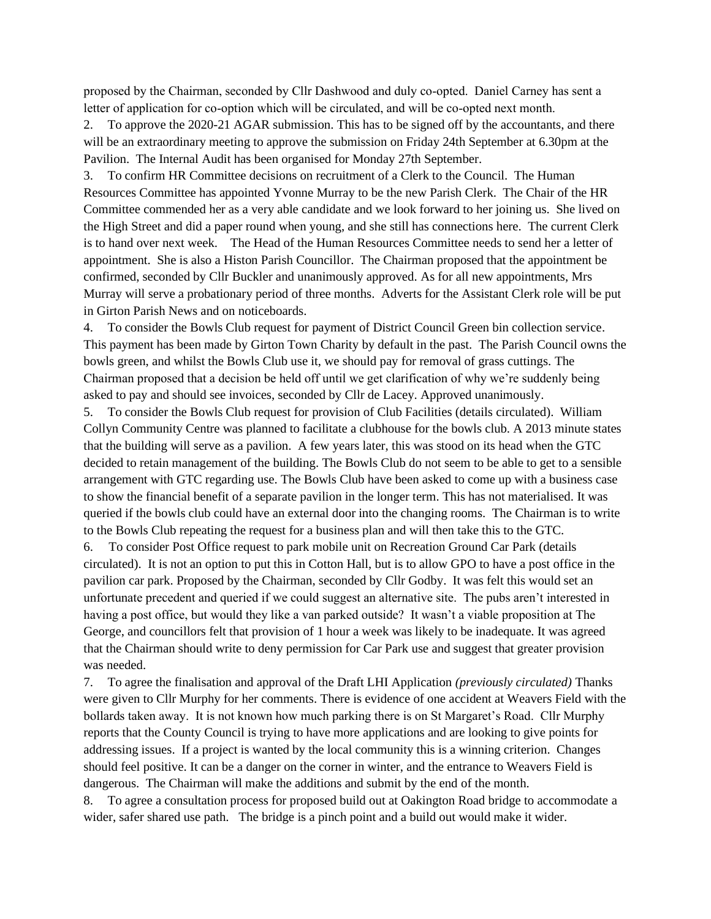proposed by the Chairman, seconded by Cllr Dashwood and duly co-opted. Daniel Carney has sent a letter of application for co-option which will be circulated, and will be co-opted next month.

2. To approve the 2020-21 AGAR submission. This has to be signed off by the accountants, and there will be an extraordinary meeting to approve the submission on Friday 24th September at 6.30pm at the Pavilion. The Internal Audit has been organised for Monday 27th September.

3. To confirm HR Committee decisions on recruitment of a Clerk to the Council. The Human Resources Committee has appointed Yvonne Murray to be the new Parish Clerk. The Chair of the HR Committee commended her as a very able candidate and we look forward to her joining us. She lived on the High Street and did a paper round when young, and she still has connections here. The current Clerk is to hand over next week. The Head of the Human Resources Committee needs to send her a letter of appointment. She is also a Histon Parish Councillor. The Chairman proposed that the appointment be confirmed, seconded by Cllr Buckler and unanimously approved. As for all new appointments, Mrs Murray will serve a probationary period of three months. Adverts for the Assistant Clerk role will be put in Girton Parish News and on noticeboards.

4. To consider the Bowls Club request for payment of District Council Green bin collection service. This payment has been made by Girton Town Charity by default in the past. The Parish Council owns the bowls green, and whilst the Bowls Club use it, we should pay for removal of grass cuttings. The Chairman proposed that a decision be held off until we get clarification of why we're suddenly being asked to pay and should see invoices, seconded by Cllr de Lacey. Approved unanimously.

5. To consider the Bowls Club request for provision of Club Facilities (details circulated). William Collyn Community Centre was planned to facilitate a clubhouse for the bowls club. A 2013 minute states that the building will serve as a pavilion. A few years later, this was stood on its head when the GTC decided to retain management of the building. The Bowls Club do not seem to be able to get to a sensible arrangement with GTC regarding use. The Bowls Club have been asked to come up with a business case to show the financial benefit of a separate pavilion in the longer term. This has not materialised. It was queried if the bowls club could have an external door into the changing rooms. The Chairman is to write to the Bowls Club repeating the request for a business plan and will then take this to the GTC.

6. To consider Post Office request to park mobile unit on Recreation Ground Car Park (details circulated). It is not an option to put this in Cotton Hall, but is to allow GPO to have a post office in the pavilion car park. Proposed by the Chairman, seconded by Cllr Godby. It was felt this would set an unfortunate precedent and queried if we could suggest an alternative site. The pubs aren't interested in having a post office, but would they like a van parked outside? It wasn't a viable proposition at The George, and councillors felt that provision of 1 hour a week was likely to be inadequate. It was agreed that the Chairman should write to deny permission for Car Park use and suggest that greater provision was needed.

7. To agree the finalisation and approval of the Draft LHI Application *(previously circulated)* Thanks were given to Cllr Murphy for her comments. There is evidence of one accident at Weavers Field with the bollards taken away. It is not known how much parking there is on St Margaret's Road. Cllr Murphy reports that the County Council is trying to have more applications and are looking to give points for addressing issues. If a project is wanted by the local community this is a winning criterion. Changes should feel positive. It can be a danger on the corner in winter, and the entrance to Weavers Field is dangerous. The Chairman will make the additions and submit by the end of the month.

8. To agree a consultation process for proposed build out at Oakington Road bridge to accommodate a wider, safer shared use path. The bridge is a pinch point and a build out would make it wider.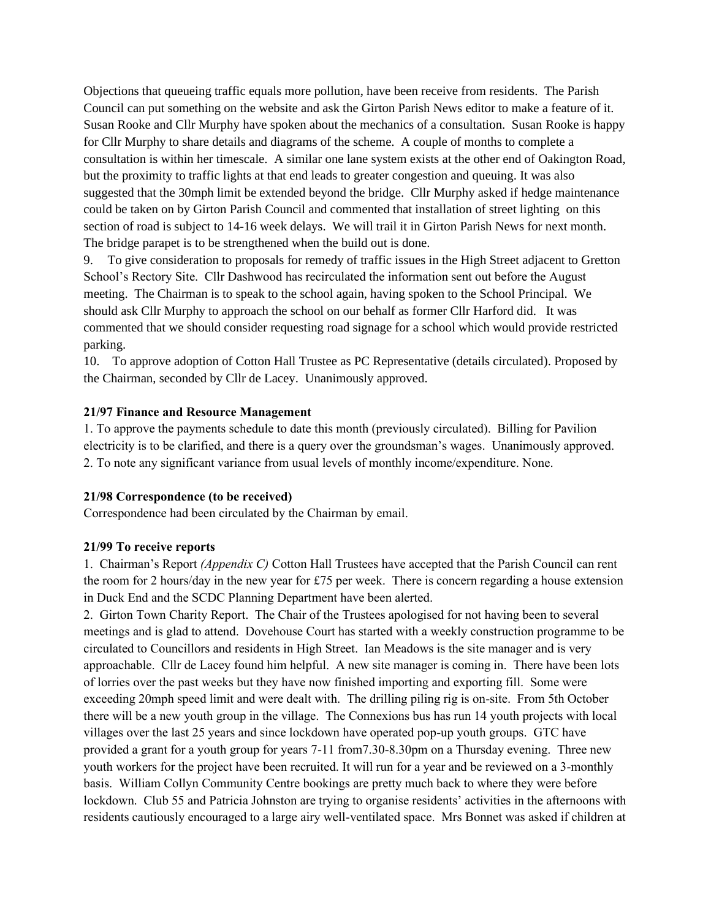Objections that queueing traffic equals more pollution, have been receive from residents. The Parish Council can put something on the website and ask the Girton Parish News editor to make a feature of it. Susan Rooke and Cllr Murphy have spoken about the mechanics of a consultation. Susan Rooke is happy for Cllr Murphy to share details and diagrams of the scheme. A couple of months to complete a consultation is within her timescale. A similar one lane system exists at the other end of Oakington Road, but the proximity to traffic lights at that end leads to greater congestion and queuing. It was also suggested that the 30mph limit be extended beyond the bridge. Cllr Murphy asked if hedge maintenance could be taken on by Girton Parish Council and commented that installation of street lighting on this section of road is subject to 14-16 week delays. We will trail it in Girton Parish News for next month. The bridge parapet is to be strengthened when the build out is done.

9. To give consideration to proposals for remedy of traffic issues in the High Street adjacent to Gretton School's Rectory Site. Cllr Dashwood has recirculated the information sent out before the August meeting. The Chairman is to speak to the school again, having spoken to the School Principal. We should ask Cllr Murphy to approach the school on our behalf as former Cllr Harford did. It was commented that we should consider requesting road signage for a school which would provide restricted parking.

10. To approve adoption of Cotton Hall Trustee as PC Representative (details circulated). Proposed by the Chairman, seconded by Cllr de Lacey. Unanimously approved.

### **21/97 Finance and Resource Management**

1. To approve the payments schedule to date this month (previously circulated). Billing for Pavilion electricity is to be clarified, and there is a query over the groundsman's wages. Unanimously approved. 2. To note any significant variance from usual levels of monthly income/expenditure. None.

#### **21/98 Correspondence (to be received)**

Correspondence had been circulated by the Chairman by email.

#### **21/99 To receive reports**

1. Chairman's Report *(Appendix C)* Cotton Hall Trustees have accepted that the Parish Council can rent the room for 2 hours/day in the new year for £75 per week. There is concern regarding a house extension in Duck End and the SCDC Planning Department have been alerted.

2. Girton Town Charity Report. The Chair of the Trustees apologised for not having been to several meetings and is glad to attend. Dovehouse Court has started with a weekly construction programme to be circulated to Councillors and residents in High Street. Ian Meadows is the site manager and is very approachable. Cllr de Lacey found him helpful. A new site manager is coming in. There have been lots of lorries over the past weeks but they have now finished importing and exporting fill. Some were exceeding 20mph speed limit and were dealt with. The drilling piling rig is on-site. From 5th October there will be a new youth group in the village. The Connexions bus has run 14 youth projects with local villages over the last 25 years and since lockdown have operated pop-up youth groups. GTC have provided a grant for a youth group for years 7-11 from7.30-8.30pm on a Thursday evening. Three new youth workers for the project have been recruited. It will run for a year and be reviewed on a 3-monthly basis. William Collyn Community Centre bookings are pretty much back to where they were before lockdown. Club 55 and Patricia Johnston are trying to organise residents' activities in the afternoons with residents cautiously encouraged to a large airy well-ventilated space. Mrs Bonnet was asked if children at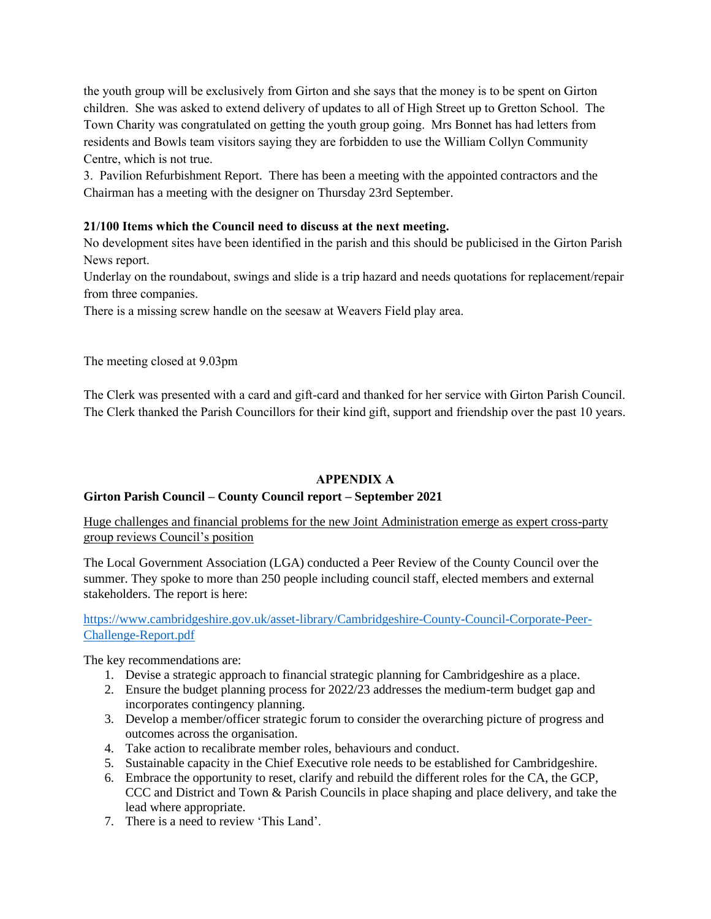the youth group will be exclusively from Girton and she says that the money is to be spent on Girton children. She was asked to extend delivery of updates to all of High Street up to Gretton School. The Town Charity was congratulated on getting the youth group going. Mrs Bonnet has had letters from residents and Bowls team visitors saying they are forbidden to use the William Collyn Community Centre, which is not true.

3. Pavilion Refurbishment Report. There has been a meeting with the appointed contractors and the Chairman has a meeting with the designer on Thursday 23rd September.

# **21/100 Items which the Council need to discuss at the next meeting.**

No development sites have been identified in the parish and this should be publicised in the Girton Parish News report.

Underlay on the roundabout, swings and slide is a trip hazard and needs quotations for replacement/repair from three companies.

There is a missing screw handle on the seesaw at Weavers Field play area.

The meeting closed at 9.03pm

The Clerk was presented with a card and gift-card and thanked for her service with Girton Parish Council. The Clerk thanked the Parish Councillors for their kind gift, support and friendship over the past 10 years.

### **APPENDIX A**

### **Girton Parish Council – County Council report – September 2021**

Huge challenges and financial problems for the new Joint Administration emerge as expert cross-party group reviews Council's position

The Local Government Association (LGA) conducted a Peer Review of the County Council over the summer. They spoke to more than 250 people including council staff, elected members and external stakeholders. The report is here:

[https://www.cambridgeshire.gov.uk/asset-library/Cambridgeshire-County-Council-Corporate-Peer-](https://www.cambridgeshire.gov.uk/asset-library/Cambridgeshire-County-Council-Corporate-Peer-Challenge-Report.pdf)[Challenge-Report.pdf](https://www.cambridgeshire.gov.uk/asset-library/Cambridgeshire-County-Council-Corporate-Peer-Challenge-Report.pdf)

The key recommendations are:

- 1. Devise a strategic approach to financial strategic planning for Cambridgeshire as a place.
- 2. Ensure the budget planning process for 2022/23 addresses the medium-term budget gap and incorporates contingency planning.
- 3. Develop a member/officer strategic forum to consider the overarching picture of progress and outcomes across the organisation.
- 4. Take action to recalibrate member roles, behaviours and conduct.
- 5. Sustainable capacity in the Chief Executive role needs to be established for Cambridgeshire.
- 6. Embrace the opportunity to reset, clarify and rebuild the different roles for the CA, the GCP, CCC and District and Town & Parish Councils in place shaping and place delivery, and take the lead where appropriate.
- 7. There is a need to review 'This Land'.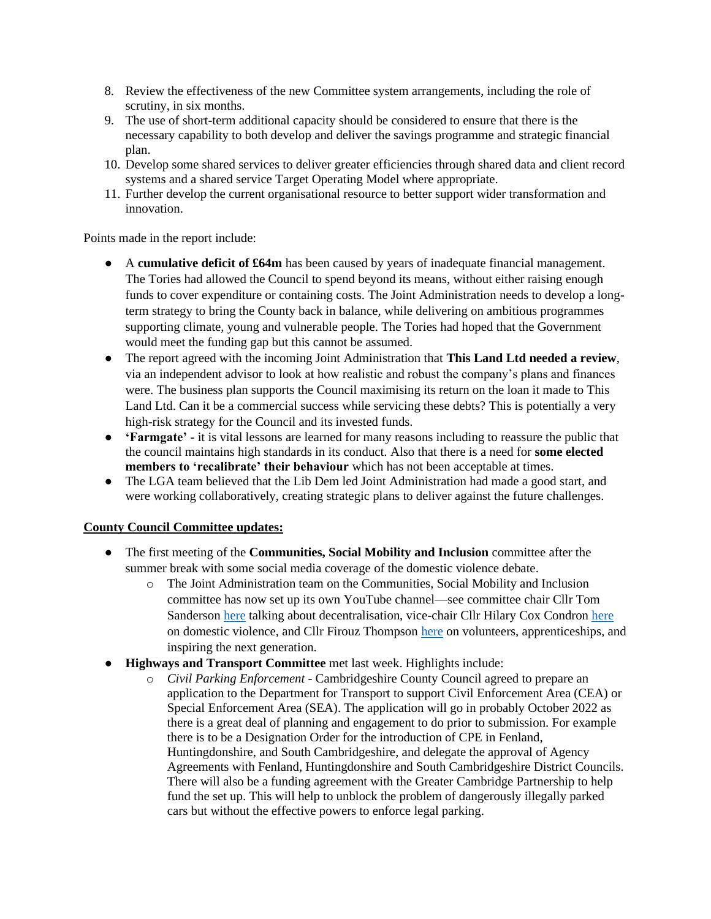- 8. Review the effectiveness of the new Committee system arrangements, including the role of scrutiny, in six months.
- 9. The use of short-term additional capacity should be considered to ensure that there is the necessary capability to both develop and deliver the savings programme and strategic financial plan.
- 10. Develop some shared services to deliver greater efficiencies through shared data and client record systems and a shared service Target Operating Model where appropriate.
- 11. Further develop the current organisational resource to better support wider transformation and innovation.

Points made in the report include:

- A **cumulative deficit of £64m** has been caused by years of inadequate financial management. The Tories had allowed the Council to spend beyond its means, without either raising enough funds to cover expenditure or containing costs. The Joint Administration needs to develop a longterm strategy to bring the County back in balance, while delivering on ambitious programmes supporting climate, young and vulnerable people. The Tories had hoped that the Government would meet the funding gap but this cannot be assumed.
- The report agreed with the incoming Joint Administration that **This Land Ltd needed a review**, via an independent advisor to look at how realistic and robust the company's plans and finances were. The business plan supports the Council maximising its return on the loan it made to This Land Ltd. Can it be a commercial success while servicing these debts? This is potentially a very high-risk strategy for the Council and its invested funds.
- **'Farmgate'** it is vital lessons are learned for many reasons including to reassure the public that the council maintains high standards in its conduct. Also that there is a need for **some elected members to 'recalibrate' their behaviour** which has not been acceptable at times.
- The LGA team believed that the Lib Dem led Joint Administration had made a good start, and were working collaboratively, creating strategic plans to deliver against the future challenges.

# **County Council Committee updates:**

- The first meeting of the **Communities, Social Mobility and Inclusion** committee after the summer break with some social media coverage of the domestic violence debate.
	- o The Joint Administration team on the Communities, Social Mobility and Inclusion committee has now set up its own YouTube channel—see committee chair Cllr Tom Sanderson [here](https://emea01.safelinks.protection.outlook.com/?url=https%3A%2F%2Fwww.youtube.com%2Fwatch%3Fv%3DdUur6T28D5E%26ab_channel%3DCambsCOSMIC&data=04%7C01%7C%7Caa4511fae04c405eed2c08d970625ec7%7C84df9e7fe9f640afb435aaaaaaaaaaaa%7C1%7C0%7C637664390078978388%7CUnknown%7CTWFpbGZsb3d8eyJWIjoiMC4wLjAwMDAiLCJQIjoiV2luMzIiLCJBTiI6Ik1haWwiLCJXVCI6Mn0%3D%7C1000&sdata=SjPoCcteubHjOIv%2BIZQDvKIXyuaSEsojg18V9ZbrRhE%3D&reserved=0) talking about decentralisation, vice-chair Cllr Hilary Cox Condron [here](https://emea01.safelinks.protection.outlook.com/?url=https%3A%2F%2Fwww.youtube.com%2Fwatch%3Fv%3DH_EFv967l4E%26ab_channel%3DCambsCOSMIC&data=04%7C01%7C%7Caa4511fae04c405eed2c08d970625ec7%7C84df9e7fe9f640afb435aaaaaaaaaaaa%7C1%7C0%7C637664390078988333%7CUnknown%7CTWFpbGZsb3d8eyJWIjoiMC4wLjAwMDAiLCJQIjoiV2luMzIiLCJBTiI6Ik1haWwiLCJXVCI6Mn0%3D%7C1000&sdata=ehs2WPuPwnfsRMQMeLcKd4Cci8U5xK3jYhCKi8mkBwc%3D&reserved=0) on domestic violence, and Cllr Firouz Thompso[n here](https://emea01.safelinks.protection.outlook.com/?url=https%3A%2F%2Fwww.youtube.com%2Fwatch%3Fv%3D-1om4QBa77k%26ab_channel%3DCambsCOSMIC&data=04%7C01%7C%7Caa4511fae04c405eed2c08d970625ec7%7C84df9e7fe9f640afb435aaaaaaaaaaaa%7C1%7C0%7C637664390078988333%7CUnknown%7CTWFpbGZsb3d8eyJWIjoiMC4wLjAwMDAiLCJQIjoiV2luMzIiLCJBTiI6Ik1haWwiLCJXVCI6Mn0%3D%7C1000&sdata=IYGmAGa5lNa5d50VO2qgJZEWFa4UBWM9XWK%2B6VgWpcc%3D&reserved=0) on volunteers, apprenticeships, and inspiring the next generation.
- **Highways and Transport Committee** met last week. Highlights include:
	- o *[Civil Parking Enforcement](https://emea01.safelinks.protection.outlook.com/?url=https%3A%2F%2Fcambridgeshire.cmis.uk.com%2FCCC_live%2FDocument.ashx%3FczJKcaeAi5tUFL1DTL2UE4zNRBcoShgo%3DJReEHOiOhecFxGMCf2%252fwx1ip3aCufiNiyKN2VCFDDw2hREG%252fGONBHg%253d%253d%26rUzwRPf%252bZ3zd4E7Ikn8Lyw%253d%253d%3DpwRE6AGJFLDNlh225F5QMaQWCtPHwdhUfCZ%252fLUQzgA2uL5jNRG4jdQ%253d%253d%26mCTIbCubSFfXsDGW9IXnlg%253d%253d%3DhFflUdN3100%253d%26kCx1AnS9%252fpWZQ40DXFvdEw%253d%253d%3DhFflUdN3100%253d%26uJovDxwdjMPoYv%252bAJvYtyA%253d%253d%3DctNJFf55vVA%253d%26FgPlIEJYlotS%252bYGoBi5olA%253d%253d%3DNHdURQburHA%253d%26d9Qjj0ag1Pd993jsyOJqFvmyB7X0CSQK%3DctNJFf55vVA%253d%26WGewmoAfeNR9xqBux0r1Q8Za60lavYmz%3DctNJFf55vVA%253d%26WGewmoAfeNQ16B2MHuCpMRKZMwaG1PaO%3DctNJFf55vVA%253d&data=04%7C01%7C%7Caa4511fae04c405eed2c08d970625ec7%7C84df9e7fe9f640afb435aaaaaaaaaaaa%7C1%7C0%7C637664390079087905%7CUnknown%7CTWFpbGZsb3d8eyJWIjoiMC4wLjAwMDAiLCJQIjoiV2luMzIiLCJBTiI6Ik1haWwiLCJXVCI6Mn0%3D%7C1000&sdata=rNXGniQltBT2wRayVYNUlUcDpSZXKQ1rnIyqLGAR2a4%3D&reserved=0)* Cambridgeshire County Council agreed to prepare an application to the Department for Transport to support Civil Enforcement Area (CEA) or Special Enforcement Area (SEA). The application will go in probably October 2022 as there is a great deal of planning and engagement to do prior to submission. For example there is to be a Designation Order for the introduction of CPE in Fenland, Huntingdonshire, and South Cambridgeshire, and delegate the approval of Agency Agreements with Fenland, Huntingdonshire and South Cambridgeshire District Councils. There will also be a funding agreement with the Greater Cambridge Partnership to help fund the set up. This will help to unblock the problem of dangerously illegally parked cars but without the effective powers to enforce legal parking.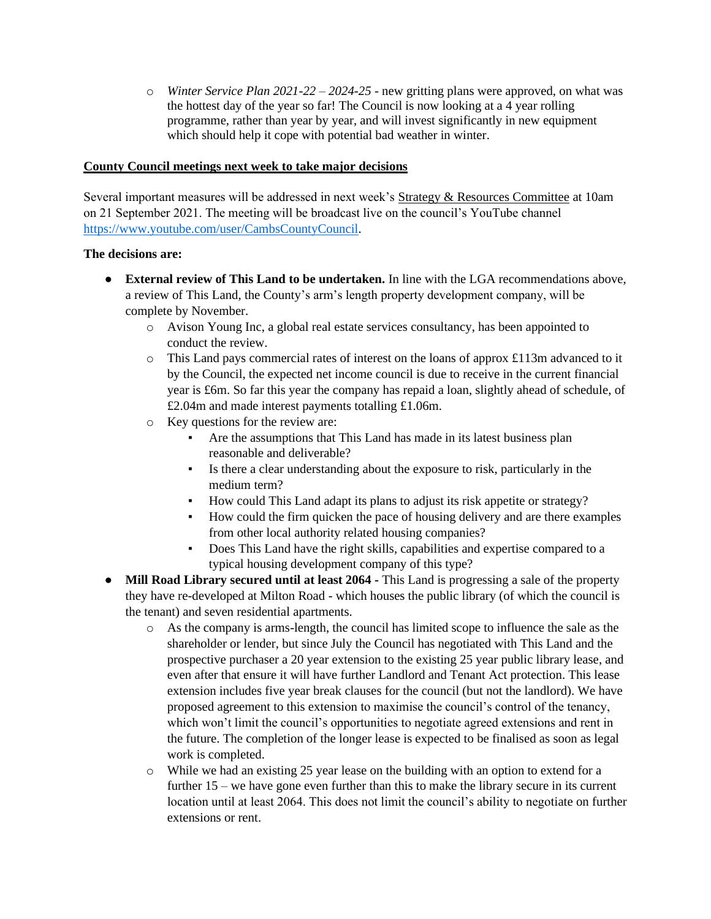o *[Winter Service Plan 2021-22 –](https://emea01.safelinks.protection.outlook.com/?url=https%3A%2F%2Fcambridgeshire.cmis.uk.com%2FCCC_live%2FDocument.ashx%3FczJKcaeAi5tUFL1DTL2UE4zNRBcoShgo%3D1JTiD1JNNaoa0PSN6NZyupR3Ap%252bwzBgmbkDsnClgm5xOE51kSDTp8g%253d%253d%26rUzwRPf%252bZ3zd4E7Ikn8Lyw%253d%253d%3DpwRE6AGJFLDNlh225F5QMaQWCtPHwdhUfCZ%252fLUQzgA2uL5jNRG4jdQ%253d%253d%26mCTIbCubSFfXsDGW9IXnlg%253d%253d%3DhFflUdN3100%253d%26kCx1AnS9%252fpWZQ40DXFvdEw%253d%253d%3DhFflUdN3100%253d%26uJovDxwdjMPoYv%252bAJvYtyA%253d%253d%3DctNJFf55vVA%253d%26FgPlIEJYlotS%252bYGoBi5olA%253d%253d%3DNHdURQburHA%253d%26d9Qjj0ag1Pd993jsyOJqFvmyB7X0CSQK%3DctNJFf55vVA%253d%26WGewmoAfeNR9xqBux0r1Q8Za60lavYmz%3DctNJFf55vVA%253d%26WGewmoAfeNQ16B2MHuCpMRKZMwaG1PaO%3DctNJFf55vVA%253d&data=04%7C01%7C%7Caa4511fae04c405eed2c08d970625ec7%7C84df9e7fe9f640afb435aaaaaaaaaaaa%7C1%7C0%7C637664390079087905%7CUnknown%7CTWFpbGZsb3d8eyJWIjoiMC4wLjAwMDAiLCJQIjoiV2luMzIiLCJBTiI6Ik1haWwiLCJXVCI6Mn0%3D%7C1000&sdata=O6x2Hphr27NP2qQbB8ogoTGFvibZqgydrNM1ICOgH1I%3D&reserved=0) 2024-25* - new gritting plans were approved, on what was the hottest day of the year so far! The Council is now looking at a 4 year rolling programme, rather than year by year, and will invest significantly in new equipment which should help it cope with potential bad weather in winter.

## **County Council meetings next week to take major decisions**

Several important measures will be addressed in next week's Strategy & Resources Committee at 10am on 21 September 2021. The meeting will be broadcast live on the council's YouTube channel [https://www.youtube.com/user/CambsCountyCouncil.](https://www.youtube.com/user/CambsCountyCouncil)

## **The decisions are:**

- **External review of This Land to be undertaken.** In line with the LGA recommendations above, a review of This Land, the County's arm's length property development company, will be complete by November.
	- o Avison Young Inc, a global real estate services consultancy, has been appointed to conduct the review.
	- $\circ$  This Land pays commercial rates of interest on the loans of approx £113m advanced to it by the Council, the expected net income council is due to receive in the current financial year is £6m. So far this year the company has repaid a loan, slightly ahead of schedule, of £2.04m and made interest payments totalling £1.06m.
	- o Key questions for the review are:
		- Are the assumptions that This Land has made in its latest business plan reasonable and deliverable?
		- Is there a clear understanding about the exposure to risk, particularly in the medium term?
		- How could This Land adapt its plans to adjust its risk appetite or strategy?
		- How could the firm quicken the pace of housing delivery and are there examples from other local authority related housing companies?
		- Does This Land have the right skills, capabilities and expertise compared to a typical housing development company of this type?
- **Mill Road Library secured until at least 2064 -** This Land is progressing a sale of the property they have re-developed at Milton Road - which houses the public library (of which the council is the tenant) and seven residential apartments.
	- o As the company is arms-length, the council has limited scope to influence the sale as the shareholder or lender, but since July the Council has negotiated with This Land and the prospective purchaser a 20 year extension to the existing 25 year public library lease, and even after that ensure it will have further Landlord and Tenant Act protection. This lease extension includes five year break clauses for the council (but not the landlord). We have proposed agreement to this extension to maximise the council's control of the tenancy, which won't limit the council's opportunities to negotiate agreed extensions and rent in the future. The completion of the longer lease is expected to be finalised as soon as legal work is completed.
	- o While we had an existing 25 year lease on the building with an option to extend for a further 15 – we have gone even further than this to make the library secure in its current location until at least 2064. This does not limit the council's ability to negotiate on further extensions or rent.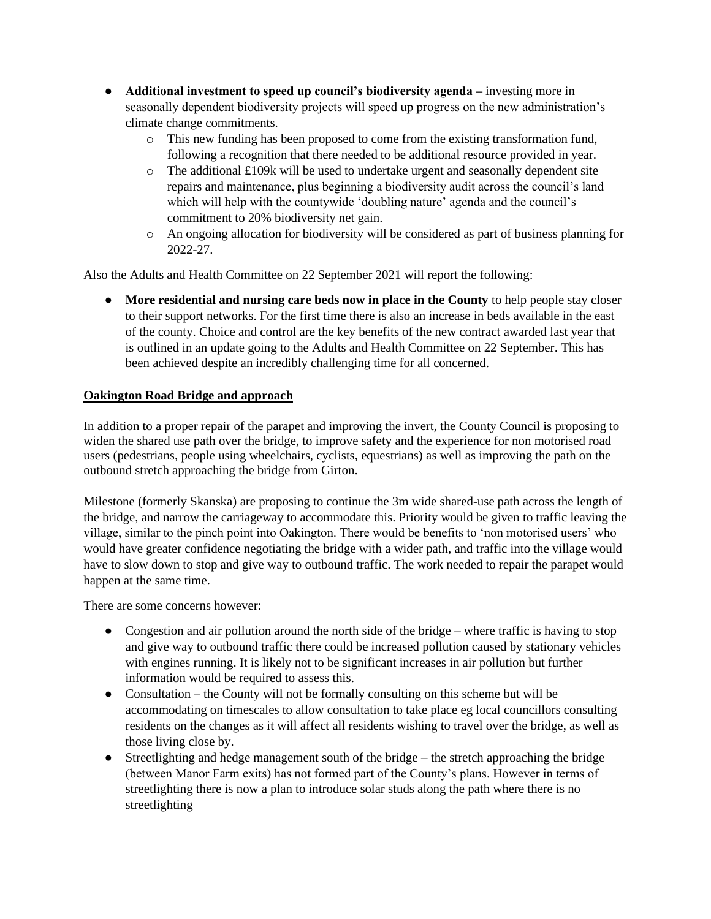- **Additional investment to speed up council's biodiversity agenda –** investing more in seasonally dependent biodiversity projects will speed up progress on the new administration's climate change commitments.
	- o This new funding has been proposed to come from the existing transformation fund, following a recognition that there needed to be additional resource provided in year.
	- $\circ$  The additional £109k will be used to undertake urgent and seasonally dependent site repairs and maintenance, plus beginning a biodiversity audit across the council's land which will help with the countywide 'doubling nature' agenda and the council's commitment to 20% biodiversity net gain.
	- o An ongoing allocation for biodiversity will be considered as part of business planning for 2022-27.

Also the Adults and Health Committee on 22 September 2021 will report the following:

**• More residential and nursing care beds now in place in the County** to help people stay closer to their support networks. For the first time there is also an increase in beds available in the east of the county. Choice and control are the key benefits of the new contract awarded last year that is outlined in an update going to the Adults and Health Committee on 22 September. This has been achieved despite an incredibly challenging time for all concerned.

# **Oakington Road Bridge and approach**

In addition to a proper repair of the parapet and improving the invert, the County Council is proposing to widen the shared use path over the bridge, to improve safety and the experience for non motorised road users (pedestrians, people using wheelchairs, cyclists, equestrians) as well as improving the path on the outbound stretch approaching the bridge from Girton.

Milestone (formerly Skanska) are proposing to continue the 3m wide shared-use path across the length of the bridge, and narrow the carriageway to accommodate this. Priority would be given to traffic leaving the village, similar to the pinch point into Oakington. There would be benefits to 'non motorised users' who would have greater confidence negotiating the bridge with a wider path, and traffic into the village would have to slow down to stop and give way to outbound traffic. The work needed to repair the parapet would happen at the same time.

There are some concerns however:

- Congestion and air pollution around the north side of the bridge where traffic is having to stop and give way to outbound traffic there could be increased pollution caused by stationary vehicles with engines running. It is likely not to be significant increases in air pollution but further information would be required to assess this.
- Consultation the County will not be formally consulting on this scheme but will be accommodating on timescales to allow consultation to take place eg local councillors consulting residents on the changes as it will affect all residents wishing to travel over the bridge, as well as those living close by.
- Streetlighting and hedge management south of the bridge the stretch approaching the bridge (between Manor Farm exits) has not formed part of the County's plans. However in terms of streetlighting there is now a plan to introduce solar studs along the path where there is no streetlighting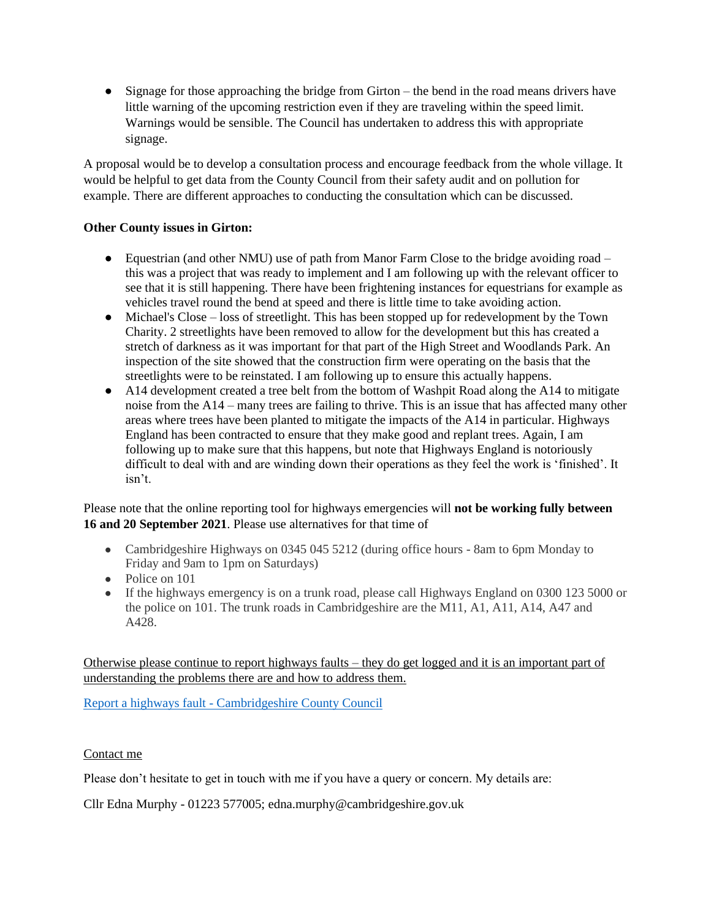• Signage for those approaching the bridge from Girton – the bend in the road means drivers have little warning of the upcoming restriction even if they are traveling within the speed limit. Warnings would be sensible. The Council has undertaken to address this with appropriate signage.

A proposal would be to develop a consultation process and encourage feedback from the whole village. It would be helpful to get data from the County Council from their safety audit and on pollution for example. There are different approaches to conducting the consultation which can be discussed.

# **Other County issues in Girton:**

- Equestrian (and other NMU) use of path from Manor Farm Close to the bridge avoiding road this was a project that was ready to implement and I am following up with the relevant officer to see that it is still happening. There have been frightening instances for equestrians for example as vehicles travel round the bend at speed and there is little time to take avoiding action.
- Michael's Close loss of streetlight. This has been stopped up for redevelopment by the Town Charity. 2 streetlights have been removed to allow for the development but this has created a stretch of darkness as it was important for that part of the High Street and Woodlands Park. An inspection of the site showed that the construction firm were operating on the basis that the streetlights were to be reinstated. I am following up to ensure this actually happens.
- A14 development created a tree belt from the bottom of Washpit Road along the A14 to mitigate noise from the A14 – many trees are failing to thrive. This is an issue that has affected many other areas where trees have been planted to mitigate the impacts of the A14 in particular. Highways England has been contracted to ensure that they make good and replant trees. Again, I am following up to make sure that this happens, but note that Highways England is notoriously difficult to deal with and are winding down their operations as they feel the work is 'finished'. It isn't.

Please note that the online reporting tool for highways emergencies will **not be working fully between 16 and 20 September 2021**. Please use alternatives for that time of

- Cambridgeshire Highways on 0345 045 5212 (during office hours 8am to 6pm Monday to Friday and 9am to 1pm on Saturdays)
- Police on 101
- If the highways emergency is on a trunk road, please call Highways England on 0300 123 5000 or the police on 101. The trunk roads in Cambridgeshire are the M11, A1, A11, A14, A47 and A428.

Otherwise please continue to report highways faults – they do get logged and it is an important part of understanding the problems there are and how to address them.

Report a highways fault - [Cambridgeshire County Council](https://www.cambridgeshire.gov.uk/residents/travel-roads-and-parking/roads-and-pathways/roadworks-and-faults)

# Contact me

Please don't hesitate to get in touch with me if you have a query or concern. My details are:

Cllr Edna Murphy - 01223 577005; edna.murphy@cambridgeshire.gov.uk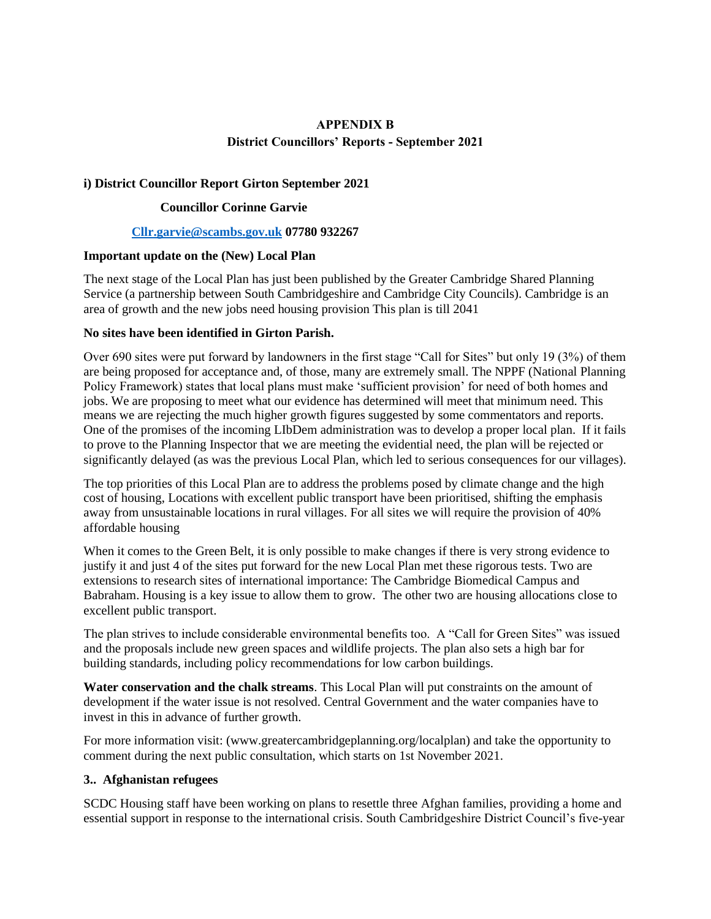# **APPENDIX B District Councillors' Reports - September 2021**

### **i) District Councillor Report Girton September 2021**

### **Councillor Corinne Garvie**

#### **[Cllr.garvie@scambs.gov.uk](mailto:Cllr.garvie@scambs.gov.uk) 07780 932267**

### **Important update on the (New) Local Plan**

The next stage of the Local Plan has just been published by the Greater Cambridge Shared Planning Service (a partnership between South Cambridgeshire and Cambridge City Councils). Cambridge is an area of growth and the new jobs need housing provision This plan is till 2041

### **No sites have been identified in Girton Parish.**

Over 690 sites were put forward by landowners in the first stage "Call for Sites" but only 19 (3%) of them are being proposed for acceptance and, of those, many are extremely small. The NPPF (National Planning Policy Framework) states that local plans must make 'sufficient provision' for need of both homes and jobs. We are proposing to meet what our evidence has determined will meet that minimum need. This means we are rejecting the much higher growth figures suggested by some commentators and reports. One of the promises of the incoming LIbDem administration was to develop a proper local plan. If it fails to prove to the Planning Inspector that we are meeting the evidential need, the plan will be rejected or significantly delayed (as was the previous Local Plan, which led to serious consequences for our villages).

The top priorities of this Local Plan are to address the problems posed by climate change and the high cost of housing, Locations with excellent public transport have been prioritised, shifting the emphasis away from unsustainable locations in rural villages. For all sites we will require the provision of 40% affordable housing

When it comes to the Green Belt, it is only possible to make changes if there is very strong evidence to justify it and just 4 of the sites put forward for the new Local Plan met these rigorous tests. Two are extensions to research sites of international importance: The Cambridge Biomedical Campus and Babraham. Housing is a key issue to allow them to grow. The other two are housing allocations close to excellent public transport.

The plan strives to include considerable environmental benefits too. A "Call for Green Sites" was issued and the proposals include new green spaces and wildlife projects. The plan also sets a high bar for building standards, including policy recommendations for low carbon buildings.

**Water conservation and the chalk streams**. This Local Plan will put constraints on the amount of development if the water issue is not resolved. Central Government and the water companies have to invest in this in advance of further growth.

For more information visit: (www.greatercambridgeplanning.org/localplan) and take the opportunity to comment during the next public consultation, which starts on 1st November 2021.

#### **3.. Afghanistan refugees**

SCDC Housing staff have been working on plans to resettle three Afghan families, providing a home and essential support in response to the international crisis. South Cambridgeshire District Council's five-year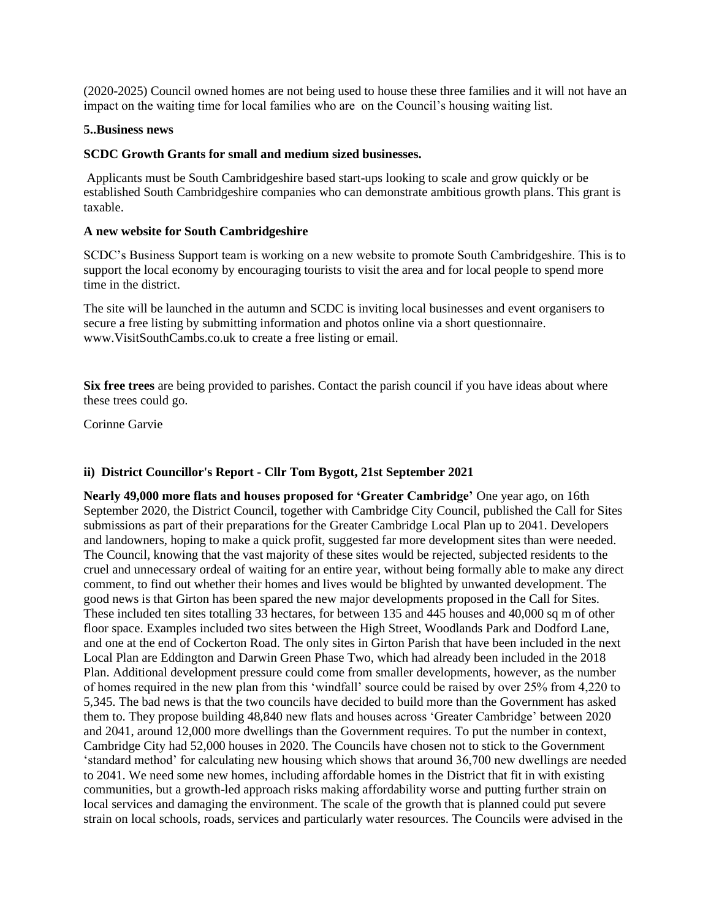(2020-2025) Council owned homes are not being used to house these three families and it will not have an impact on the waiting time for local families who are on the Council's housing waiting list.

#### **5..Business news**

### **SCDC Growth Grants for small and medium sized businesses.**

Applicants must be South Cambridgeshire based start-ups looking to scale and grow quickly or be established South Cambridgeshire companies who can demonstrate ambitious growth plans. This grant is taxable.

### **A new website for South Cambridgeshire**

SCDC's Business Support team is working on a new website to promote South Cambridgeshire. This is to support the local economy by encouraging tourists to visit the area and for local people to spend more time in the district.

The site will be launched in the autumn and SCDC is inviting local businesses and event organisers to secure a free listing by submitting information and photos online via a short questionnaire. www.VisitSouthCambs.co.uk to create a free listing or email.

**Six free trees** are being provided to parishes. Contact the parish council if you have ideas about where these trees could go.

Corinne Garvie

### **ii) District Councillor's Report - Cllr Tom Bygott, 21st September 2021**

**Nearly 49,000 more flats and houses proposed for 'Greater Cambridge'** One year ago, on 16th September 2020, the District Council, together with Cambridge City Council, published the Call for Sites submissions as part of their preparations for the Greater Cambridge Local Plan up to 2041. Developers and landowners, hoping to make a quick profit, suggested far more development sites than were needed. The Council, knowing that the vast majority of these sites would be rejected, subjected residents to the cruel and unnecessary ordeal of waiting for an entire year, without being formally able to make any direct comment, to find out whether their homes and lives would be blighted by unwanted development. The good news is that Girton has been spared the new major developments proposed in the Call for Sites. These included ten sites totalling 33 hectares, for between 135 and 445 houses and 40,000 sq m of other floor space. Examples included two sites between the High Street, Woodlands Park and Dodford Lane, and one at the end of Cockerton Road. The only sites in Girton Parish that have been included in the next Local Plan are Eddington and Darwin Green Phase Two, which had already been included in the 2018 Plan. Additional development pressure could come from smaller developments, however, as the number of homes required in the new plan from this 'windfall' source could be raised by over 25% from 4,220 to 5,345. The bad news is that the two councils have decided to build more than the Government has asked them to. They propose building 48,840 new flats and houses across 'Greater Cambridge' between 2020 and 2041, around 12,000 more dwellings than the Government requires. To put the number in context, Cambridge City had 52,000 houses in 2020. The Councils have chosen not to stick to the Government 'standard method' for calculating new housing which shows that around 36,700 new dwellings are needed to 2041. We need some new homes, including affordable homes in the District that fit in with existing communities, but a growth-led approach risks making affordability worse and putting further strain on local services and damaging the environment. The scale of the growth that is planned could put severe strain on local schools, roads, services and particularly water resources. The Councils were advised in the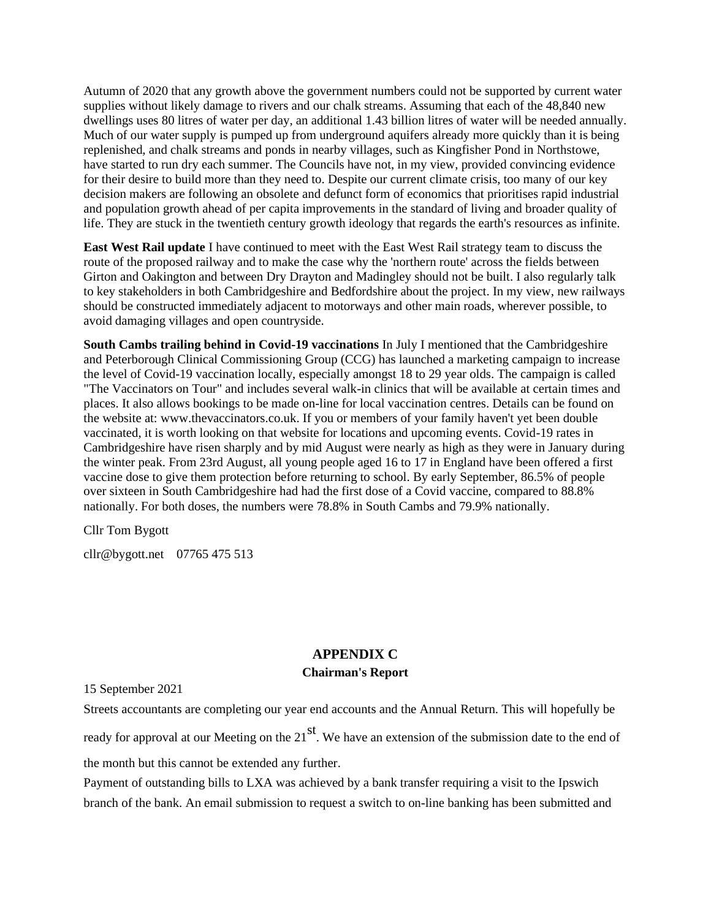Autumn of 2020 that any growth above the government numbers could not be supported by current water supplies without likely damage to rivers and our chalk streams. Assuming that each of the 48,840 new dwellings uses 80 litres of water per day, an additional 1.43 billion litres of water will be needed annually. Much of our water supply is pumped up from underground aquifers already more quickly than it is being replenished, and chalk streams and ponds in nearby villages, such as Kingfisher Pond in Northstowe, have started to run dry each summer. The Councils have not, in my view, provided convincing evidence for their desire to build more than they need to. Despite our current climate crisis, too many of our key decision makers are following an obsolete and defunct form of economics that prioritises rapid industrial and population growth ahead of per capita improvements in the standard of living and broader quality of life. They are stuck in the twentieth century growth ideology that regards the earth's resources as infinite.

**East West Rail update** I have continued to meet with the East West Rail strategy team to discuss the route of the proposed railway and to make the case why the 'northern route' across the fields between Girton and Oakington and between Dry Drayton and Madingley should not be built. I also regularly talk to key stakeholders in both Cambridgeshire and Bedfordshire about the project. In my view, new railways should be constructed immediately adjacent to motorways and other main roads, wherever possible, to avoid damaging villages and open countryside.

**South Cambs trailing behind in Covid-19 vaccinations** In July I mentioned that the Cambridgeshire and Peterborough Clinical Commissioning Group (CCG) has launched a marketing campaign to increase the level of Covid-19 vaccination locally, especially amongst 18 to 29 year olds. The campaign is called "The Vaccinators on Tour" and includes several walk-in clinics that will be available at certain times and places. It also allows bookings to be made on-line for local vaccination centres. Details can be found on the website at: www.thevaccinators.co.uk. If you or members of your family haven't yet been double vaccinated, it is worth looking on that website for locations and upcoming events. Covid-19 rates in Cambridgeshire have risen sharply and by mid August were nearly as high as they were in January during the winter peak. From 23rd August, all young people aged 16 to 17 in England have been offered a first vaccine dose to give them protection before returning to school. By early September, 86.5% of people over sixteen in South Cambridgeshire had had the first dose of a Covid vaccine, compared to 88.8% nationally. For both doses, the numbers were 78.8% in South Cambs and 79.9% nationally.

Cllr Tom Bygott

cllr@bygott.net 07765 475 513

# **APPENDIX C Chairman's Report**

15 September 2021

Streets accountants are completing our year end accounts and the Annual Return. This will hopefully be

ready for approval at our Meeting on the  $21<sup>st</sup>$ . We have an extension of the submission date to the end of

the month but this cannot be extended any further.

Payment of outstanding bills to LXA was achieved by a bank transfer requiring a visit to the Ipswich branch of the bank. An email submission to request a switch to on-line banking has been submitted and